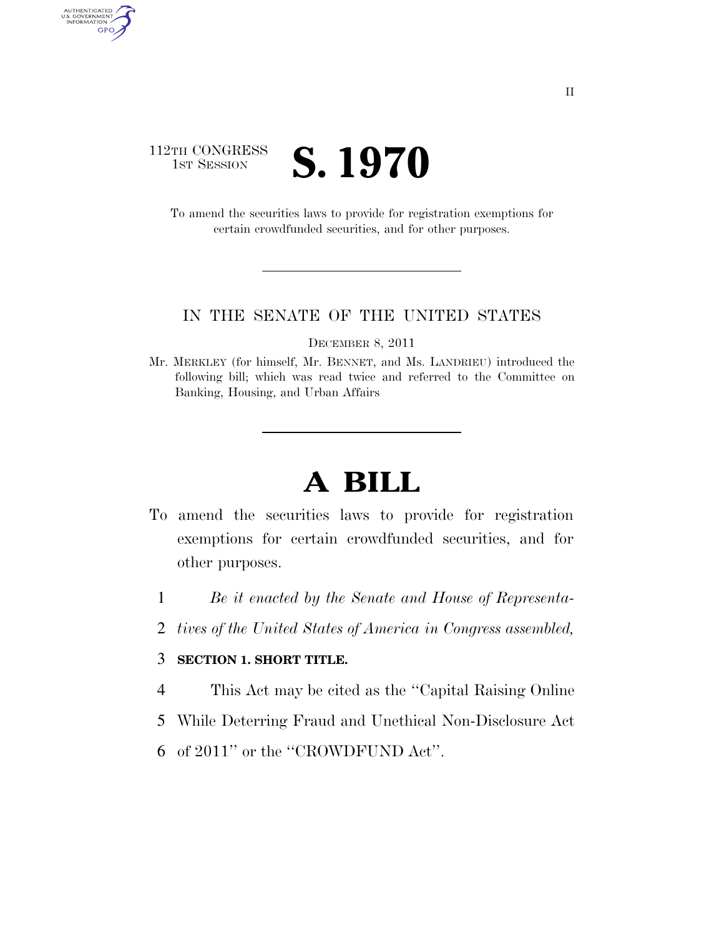## 112TH CONGRESS **IST SESSION S. 1970**

AUTHENTICATED<br>U.S. GOVERNMENT<br>INFORMATION

GPO

To amend the securities laws to provide for registration exemptions for certain crowdfunded securities, and for other purposes.

#### IN THE SENATE OF THE UNITED STATES

DECEMBER 8, 2011

Mr. MERKLEY (for himself, Mr. BENNET, and Ms. LANDRIEU) introduced the following bill; which was read twice and referred to the Committee on Banking, Housing, and Urban Affairs

# **A BILL**

- To amend the securities laws to provide for registration exemptions for certain crowdfunded securities, and for other purposes.
	- 1 *Be it enacted by the Senate and House of Representa-*
	- 2 *tives of the United States of America in Congress assembled,*

### 3 **SECTION 1. SHORT TITLE.**

- 4 This Act may be cited as the ''Capital Raising Online
- 5 While Deterring Fraud and Unethical Non-Disclosure Act
- 6 of 2011'' or the ''CROWDFUND Act''.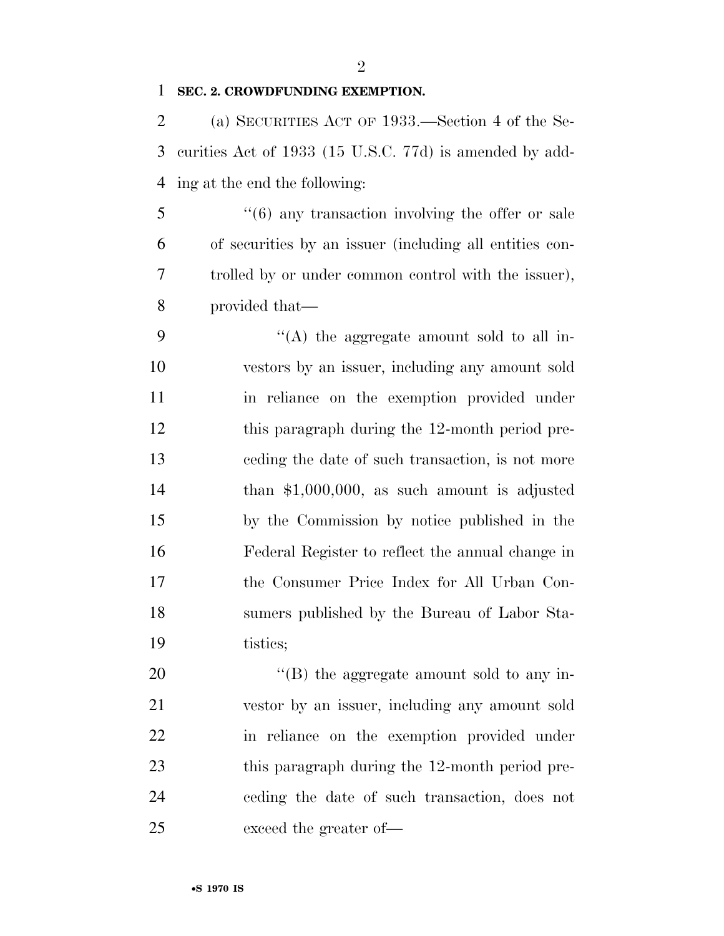$\mathfrak{D}$ 

### **SEC. 2. CROWDFUNDING EXEMPTION.**

 (a) SECURITIES ACT OF 1933.—Section 4 of the Se- curities Act of 1933 (15 U.S.C. 77d) is amended by add-ing at the end the following:

5 "(6) any transaction involving the offer or sale of securities by an issuer (including all entities con- trolled by or under common control with the issuer), provided that—

 ''(A) the aggregate amount sold to all in- vestors by an issuer, including any amount sold in reliance on the exemption provided under this paragraph during the 12-month period pre- ceding the date of such transaction, is not more than \$1,000,000, as such amount is adjusted by the Commission by notice published in the Federal Register to reflect the annual change in the Consumer Price Index for All Urban Con- sumers published by the Bureau of Labor Sta-tistics;

20 "(B) the aggregate amount sold to any in- vestor by an issuer, including any amount sold in reliance on the exemption provided under 23 this paragraph during the 12-month period pre- ceding the date of such transaction, does not exceed the greater of—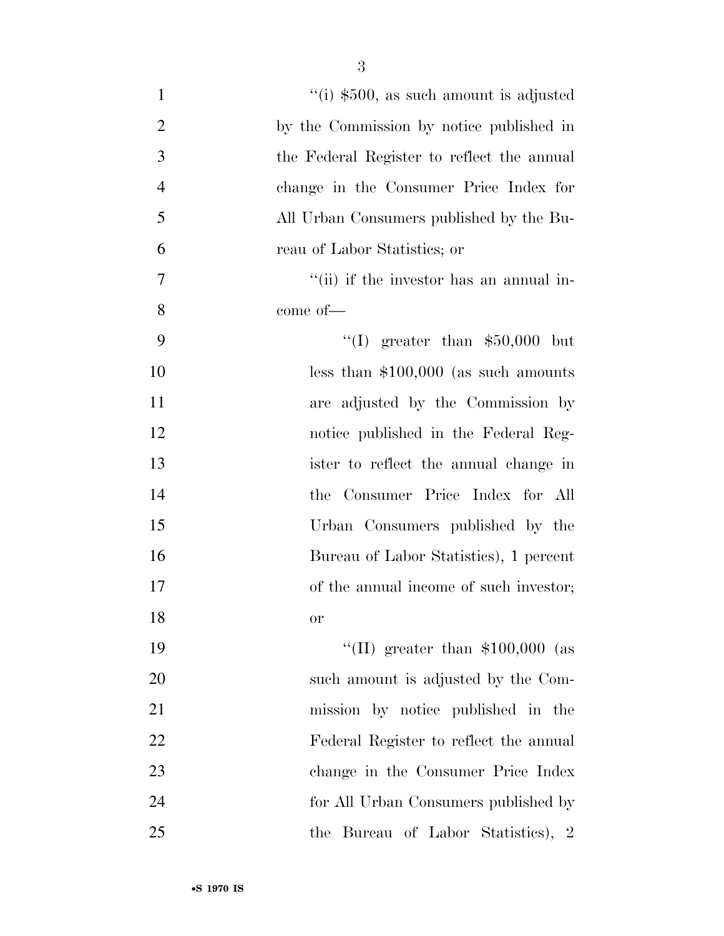| $\mathbf{1}$   | "(i) $$500$ , as such amount is adjusted   |
|----------------|--------------------------------------------|
| $\overline{2}$ | by the Commission by notice published in   |
| 3              | the Federal Register to reflect the annual |
| $\overline{4}$ | change in the Consumer Price Index for     |
| 5              | All Urban Consumers published by the Bu-   |
| 6              | reau of Labor Statistics; or               |
| $\tau$         | "(ii) if the investor has an annual in-    |
| 8              | come of-                                   |
| 9              | "(I) greater than $$50,000$ but            |
| 10             | less than $$100,000$ (as such amounts      |
| 11             | are adjusted by the Commission by          |
| 12             | notice published in the Federal Reg-       |
| 13             | ister to reflect the annual change in      |
| 14             | the Consumer Price Index for All           |
| 15             | Urban Consumers published by the           |
| 16             | Bureau of Labor Statistics), 1 percent     |
| 17             | of the annual income of such investor;     |
| 18             | <b>or</b>                                  |
| 19             | "(II) greater than $$100,000$ (as          |
| 20             | such amount is adjusted by the Com-        |
| 21             | mission by notice published in the         |
| 22             | Federal Register to reflect the annual     |
| 23             | change in the Consumer Price Index         |
| 24             | for All Urban Consumers published by       |
| 25             | the Bureau of Labor Statistics), 2         |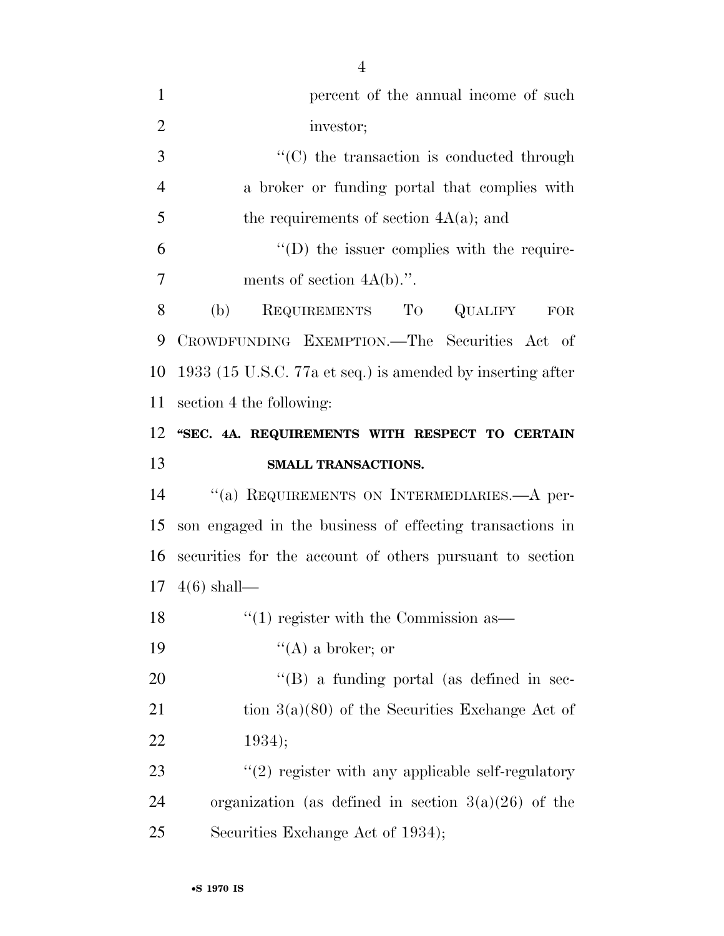| $\mathbf{1}$   | percent of the annual income of such                       |
|----------------|------------------------------------------------------------|
| $\overline{2}$ | investor;                                                  |
| 3              | $\cdot$ (C) the transaction is conducted through           |
| $\overline{4}$ | a broker or funding portal that complies with              |
| 5              | the requirements of section $4A(a)$ ; and                  |
| 6              | $\lq\lq$ the issuer complies with the require-             |
| 7              | ments of section $4A(b)$ .".                               |
| 8              | REQUIREMENTS TO QUALIFY<br>(b)<br>FOR                      |
| 9              | CROWDFUNDING EXEMPTION.—The Securities Act of              |
| 10             | 1933 (15 U.S.C. 77a et seq.) is amended by inserting after |
| 11             | section 4 the following:                                   |
| 12             | "SEC. 4A. REQUIREMENTS WITH RESPECT TO CERTAIN             |
| 13             | SMALL TRANSACTIONS.                                        |
| 14             | $``(a)$ REQUIREMENTS ON INTERMEDIARIES.—A per-             |
| 15             | son engaged in the business of effecting transactions in   |
| 16             | securities for the account of others pursuant to section   |
| 17             | $4(6)$ shall—                                              |
| 18             | $\cdot\cdot\cdot(1)$ register with the Commission as —     |
| 19             | $\lq\lq (A)$ a broker; or                                  |
|                |                                                            |
| 20             | $\lq\lq (B)$ a funding portal (as defined in sec-          |
| 21             | tion $3(a)(80)$ of the Securities Exchange Act of          |
| 22             | 1934);                                                     |
| 23             | $\lq(2)$ register with any applicable self-regulatory      |
| 24             | organization (as defined in section $3(a)(26)$ of the      |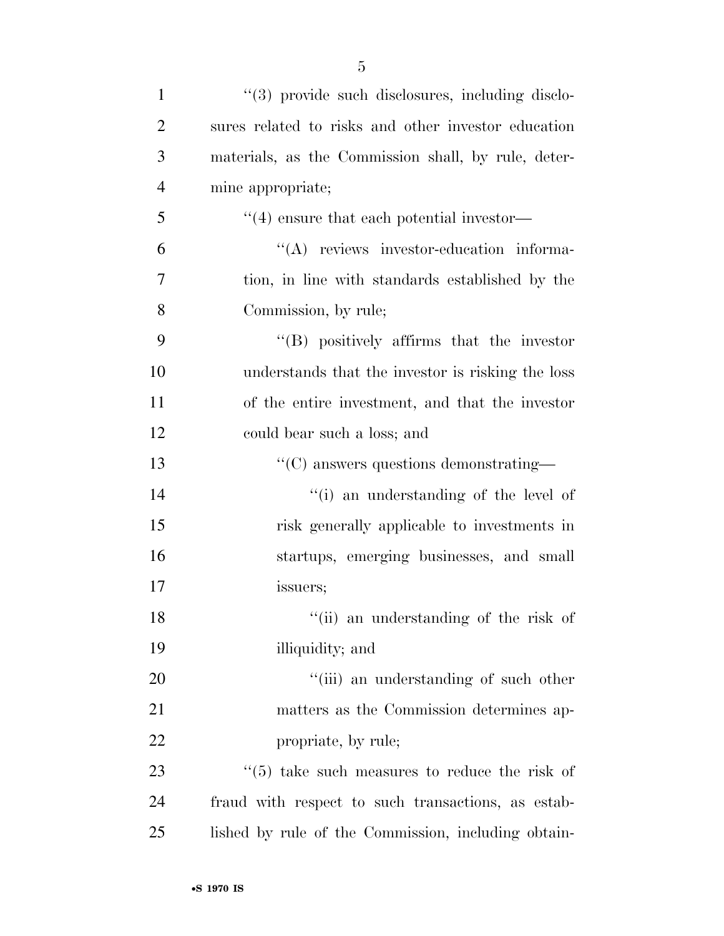| $\mathbf{1}$   | "(3) provide such disclosures, including disclo-     |
|----------------|------------------------------------------------------|
| $\overline{2}$ | sures related to risks and other investor education  |
| 3              | materials, as the Commission shall, by rule, deter-  |
| $\overline{4}$ | mine appropriate;                                    |
| 5              | $\cdot$ (4) ensure that each potential investor—     |
| 6              | "(A) reviews investor-education informa-             |
| 7              | tion, in line with standards established by the      |
| 8              | Commission, by rule;                                 |
| 9              | $\lq\lq$ positively affirms that the investor        |
| 10             | understands that the investor is risking the loss    |
| 11             | of the entire investment, and that the investor      |
| 12             | could bear such a loss; and                          |
| 13             | $\cdot\text{C}$ answers questions demonstrating—     |
| 14             | "(i) an understanding of the level of                |
| 15             | risk generally applicable to investments in          |
| 16             | startups, emerging businesses, and small             |
| 17             | issuers;                                             |
| 18             | "(ii) an understanding of the risk of                |
| 19             | illiquidity; and                                     |
| 20             | "(iii) an understanding of such other                |
| 21             | matters as the Commission determines ap-             |
| 22             | propriate, by rule;                                  |
| 23             | $\cdot$ (5) take such measures to reduce the risk of |
| 24             | fraud with respect to such transactions, as estab-   |
| 25             | lished by rule of the Commission, including obtain-  |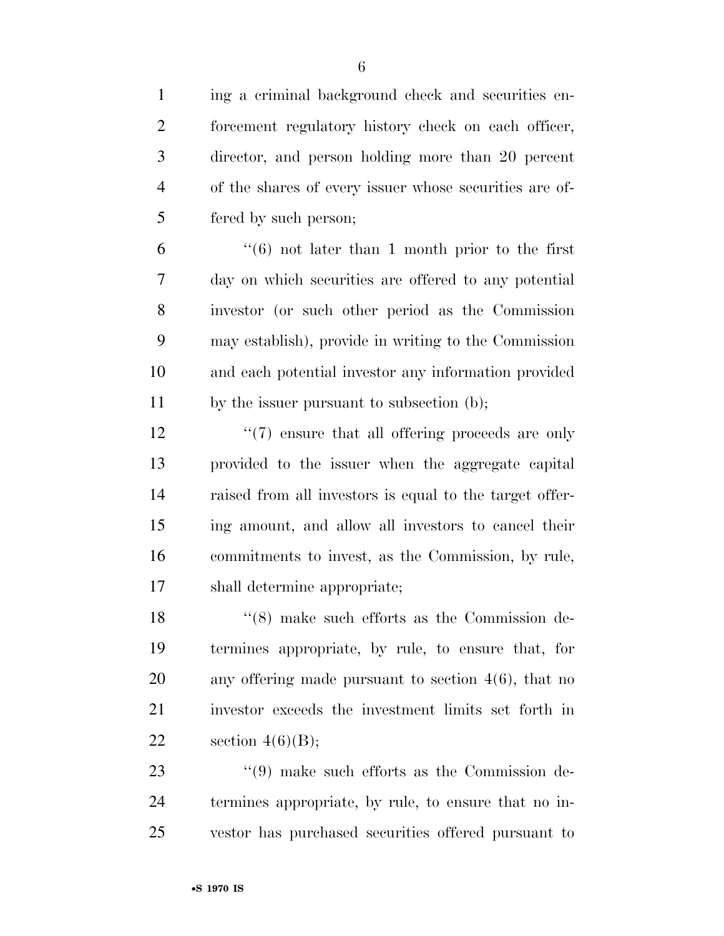ing a criminal background check and securities en-2 forcement regulatory history check on each officer, director, and person holding more than 20 percent of the shares of every issuer whose securities are of- fered by such person; ''(6) not later than 1 month prior to the first day on which securities are offered to any potential investor (or such other period as the Commission may establish), provide in writing to the Commission and each potential investor any information provided by the issuer pursuant to subsection (b); 12 ''(7) ensure that all offering proceeds are only provided to the issuer when the aggregate capital raised from all investors is equal to the target offer- ing amount, and allow all investors to cancel their commitments to invest, as the Commission, by rule, shall determine appropriate; 18 ''(8) make such efforts as the Commission de- termines appropriate, by rule, to ensure that, for any offering made pursuant to section 4(6), that no investor exceeds the investment limits set forth in 22 section  $4(6)(B)$ ; 23 ''(9) make such efforts as the Commission de- termines appropriate, by rule, to ensure that no in-vestor has purchased securities offered pursuant to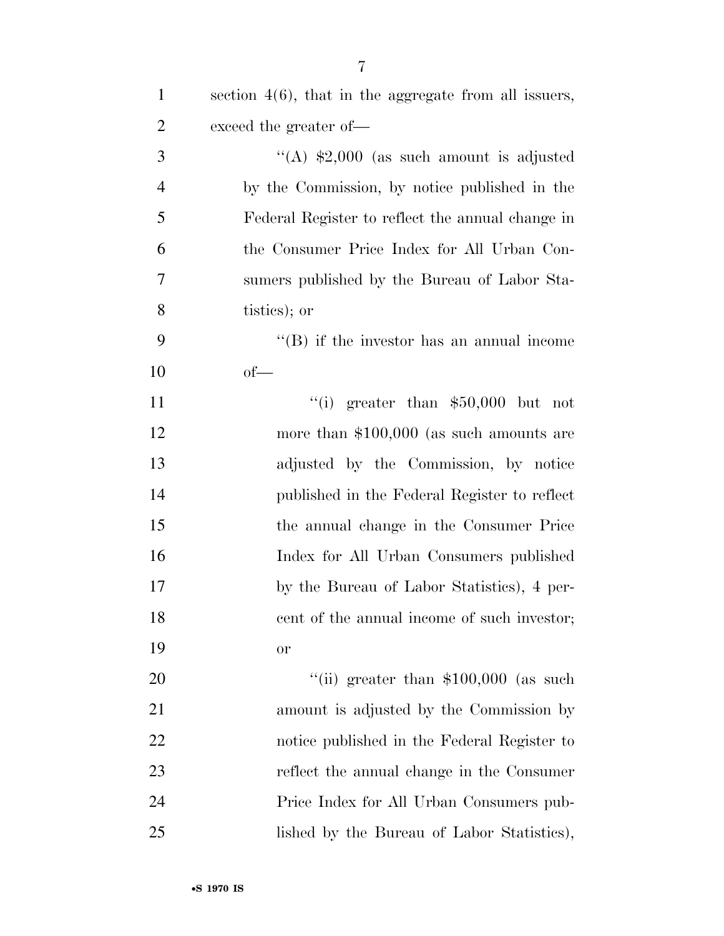| $\mathbf{1}$   | section $4(6)$ , that in the aggregate from all issuers, |
|----------------|----------------------------------------------------------|
| $\overline{c}$ | exceed the greater of-                                   |
| 3              | "(A) $\text{$}2,000$ (as such amount is adjusted         |
| $\overline{4}$ | by the Commission, by notice published in the            |
| 5              | Federal Register to reflect the annual change in         |
| 6              | the Consumer Price Index for All Urban Con-              |
| 7              | sumers published by the Bureau of Labor Sta-             |
| 8              | tistics); or                                             |
| 9              | $\lq\lq$ ) if the investor has an annual income          |
| 10             | $of$ —                                                   |
| 11             | "(i) greater than $$50,000$ but not                      |
| 12             | more than $$100,000$ (as such amounts are                |
| 13             | adjusted by the Commission, by notice                    |
| 14             | published in the Federal Register to reflect             |
| 15             | the annual change in the Consumer Price                  |
| 16             | Index for All Urban Consumers published                  |
| 17             | by the Bureau of Labor Statistics), 4 per-               |
| 18             | cent of the annual income of such investor;              |
| 19             | <b>or</b>                                                |
| 20             | "(ii) greater than $$100,000$ (as such                   |
| 21             | amount is adjusted by the Commission by                  |
| 22             | notice published in the Federal Register to              |
| 23             | reflect the annual change in the Consumer                |
| 24             | Price Index for All Urban Consumers pub-                 |
| 25             | lished by the Bureau of Labor Statistics),               |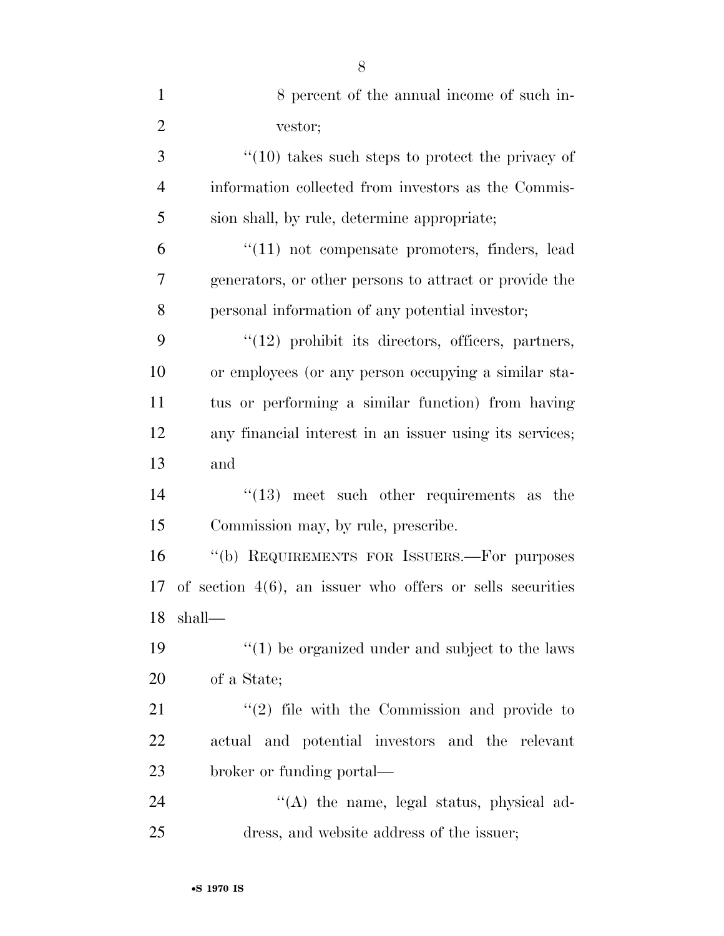| $\mathbf{1}$   | 8 percent of the annual income of such in-                   |
|----------------|--------------------------------------------------------------|
| $\overline{2}$ | vestor;                                                      |
| 3              | $"(10)$ takes such steps to protect the privacy of           |
| $\overline{4}$ | information collected from investors as the Commis-          |
| 5              | sion shall, by rule, determine appropriate;                  |
| 6              | $\lq(11)$ not compensate promoters, finders, lead            |
| 7              | generators, or other persons to attract or provide the       |
| 8              | personal information of any potential investor;              |
| 9              | $"(12)$ prohibit its directors, officers, partners,          |
| 10             | or employees (or any person occupying a similar sta-         |
| 11             | tus or performing a similar function) from having            |
| 12             | any financial interest in an issuer using its services;      |
| 13             | and                                                          |
| 14             | $\cdot$ (13) meet such other requirements as the             |
| 15             | Commission may, by rule, prescribe.                          |
| 16             | "(b) REQUIREMENTS FOR ISSUERS.—For purposes                  |
| 17             | of section $4(6)$ , an issuer who offers or sells securities |
| 18             | shall—                                                       |
| 19             | $"(1)$ be organized under and subject to the laws            |
| 20             | of a State;                                                  |
| 21             | $\lq(2)$ file with the Commission and provide to             |
| 22             | actual and potential investors and the relevant              |
| 23             | broker or funding portal—                                    |
| 24             | "(A) the name, legal status, physical ad-                    |
| 25             | dress, and website address of the issuer;                    |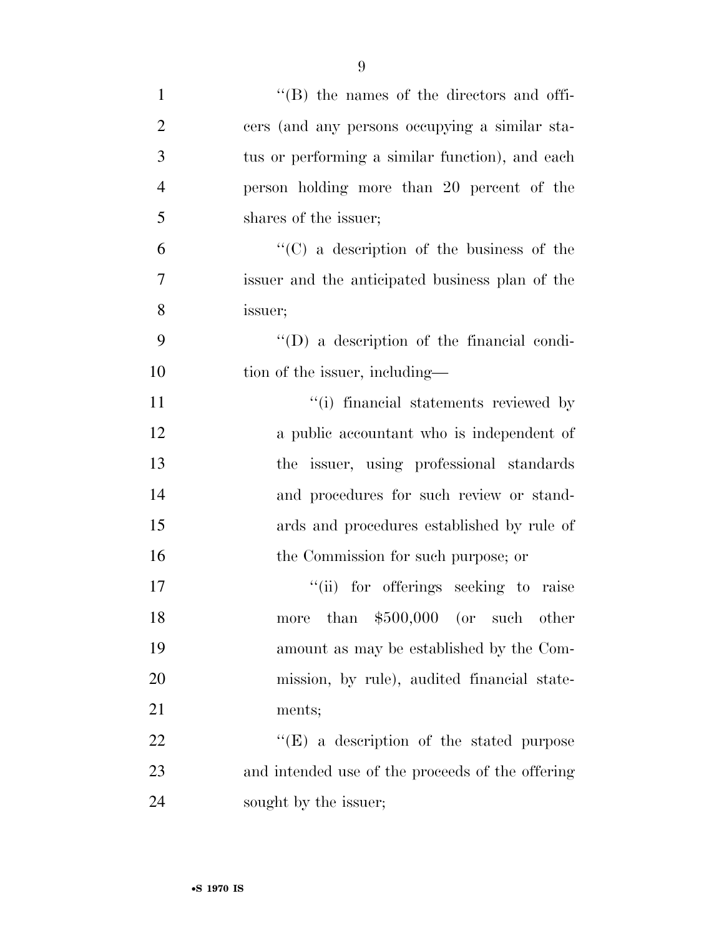| $\mathbf{1}$   | $\lq\lq$ the names of the directors and offi-     |
|----------------|---------------------------------------------------|
| $\overline{2}$ | cers (and any persons occupying a similar sta-    |
| 3              | tus or performing a similar function), and each   |
| $\overline{4}$ | person holding more than 20 percent of the        |
| 5              | shares of the issuer;                             |
| 6              | $\lq\lq$ (C) a description of the business of the |
| 7              | issuer and the anticipated business plan of the   |
| 8              | issuer;                                           |
| 9              | $\lq\lq$ a description of the financial condi-    |
| 10             | tion of the issuer, including—                    |
| 11             | "(i) financial statements reviewed by             |
| 12             | a public accountant who is independent of         |
| 13             | the issuer, using professional standards          |
| 14             | and procedures for such review or stand-          |
| 15             | ards and procedures established by rule of        |
| 16             | the Commission for such purpose; or               |
| 17             | "(ii) for offerings seeking to raise              |
| 18             | than $$500,000$ (or such other<br>more            |
| 19             | amount as may be established by the Com-          |
| 20             | mission, by rule), audited financial state-       |
| 21             | ments;                                            |
| 22             | $\lq\lq(E)$ a description of the stated purpose   |
| 23             | and intended use of the proceeds of the offering  |
| 24             | sought by the issuer;                             |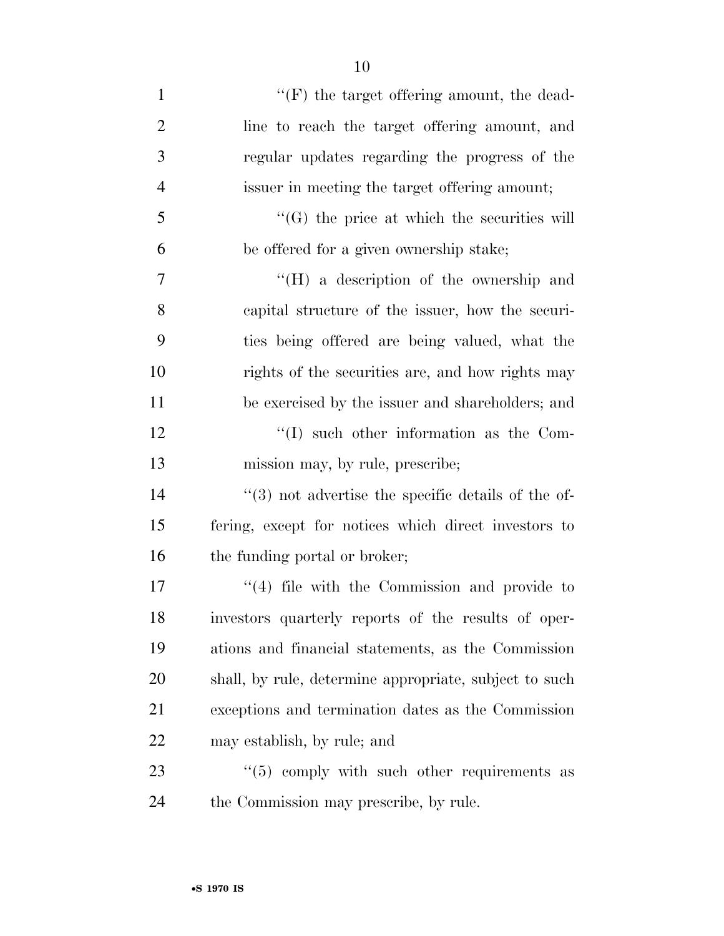| $\mathbf{1}$   | $\lq\lq(F)$ the target offering amount, the dead-       |
|----------------|---------------------------------------------------------|
| $\overline{2}$ | line to reach the target offering amount, and           |
| 3              | regular updates regarding the progress of the           |
| $\overline{4}$ | issuer in meeting the target offering amount;           |
| 5              | $\lq\lq(G)$ the price at which the securities will      |
| 6              | be offered for a given ownership stake;                 |
| 7              | $\lq\lq (H)$ a description of the ownership and         |
| 8              | capital structure of the issuer, how the securi-        |
| 9              | ties being offered are being valued, what the           |
| 10             | rights of the securities are, and how rights may        |
| 11             | be exercised by the issuer and shareholders; and        |
| 12             | $\lq\lq$ such other information as the Com-             |
|                |                                                         |
| 13             | mission may, by rule, prescribe;                        |
| 14             | $(3)$ not advertise the specific details of the of-     |
| 15             | fering, except for notices which direct investors to    |
| 16             | the funding portal or broker;                           |
| 17             | $(4)$ file with the Commission and provide to           |
| 18             | investors quarterly reports of the results of oper-     |
| 19             | ations and financial statements, as the Commission      |
| 20             | shall, by rule, determine appropriate, subject to such  |
| 21             | exceptions and termination dates as the Commission      |
| 22             | may establish, by rule; and                             |
| 23             | $\cdot\cdot$ (5) comply with such other requirements as |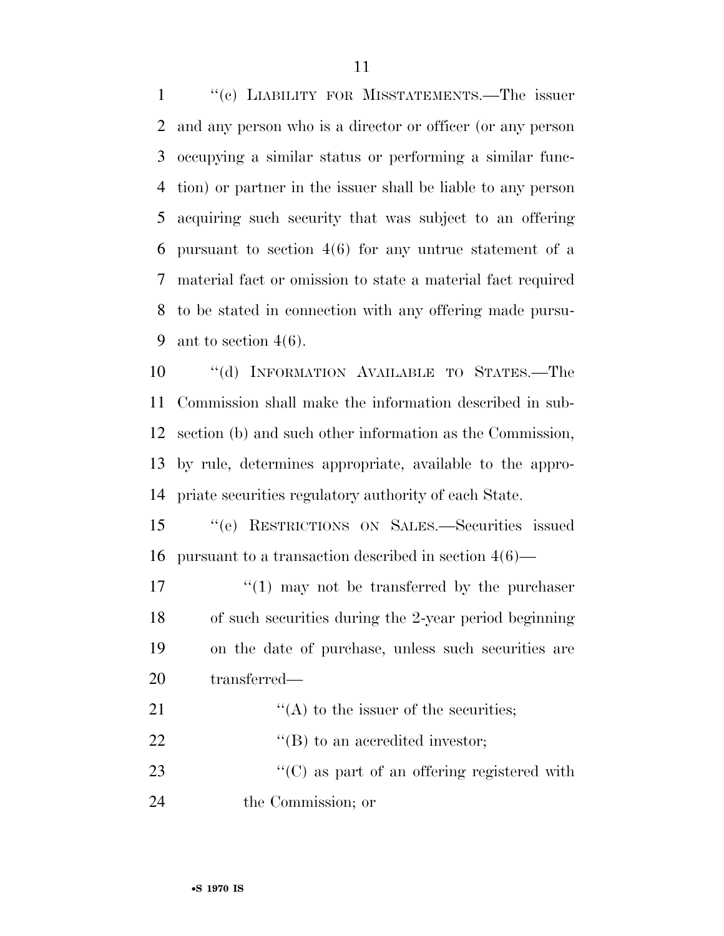''(c) LIABILITY FOR MISSTATEMENTS.—The issuer and any person who is a director or officer (or any person occupying a similar status or performing a similar func- tion) or partner in the issuer shall be liable to any person acquiring such security that was subject to an offering pursuant to section 4(6) for any untrue statement of a material fact or omission to state a material fact required to be stated in connection with any offering made pursu-9 ant to section  $4(6)$ .

 ''(d) INFORMATION AVAILABLE TO STATES.—The Commission shall make the information described in sub- section (b) and such other information as the Commission, by rule, determines appropriate, available to the appro-priate securities regulatory authority of each State.

 ''(e) RESTRICTIONS ON SALES.—Securities issued pursuant to a transaction described in section 4(6)—

 $\frac{17}{2}$   $\frac{17}{2}$  may not be transferred by the purchaser of such securities during the 2-year period beginning on the date of purchase, unless such securities are transferred—

 $"({\rm A})$  to the issuer of the securities;  $"$ (B) to an accredited investor;  $\cdot$  (C) as part of an offering registered with the Commission; or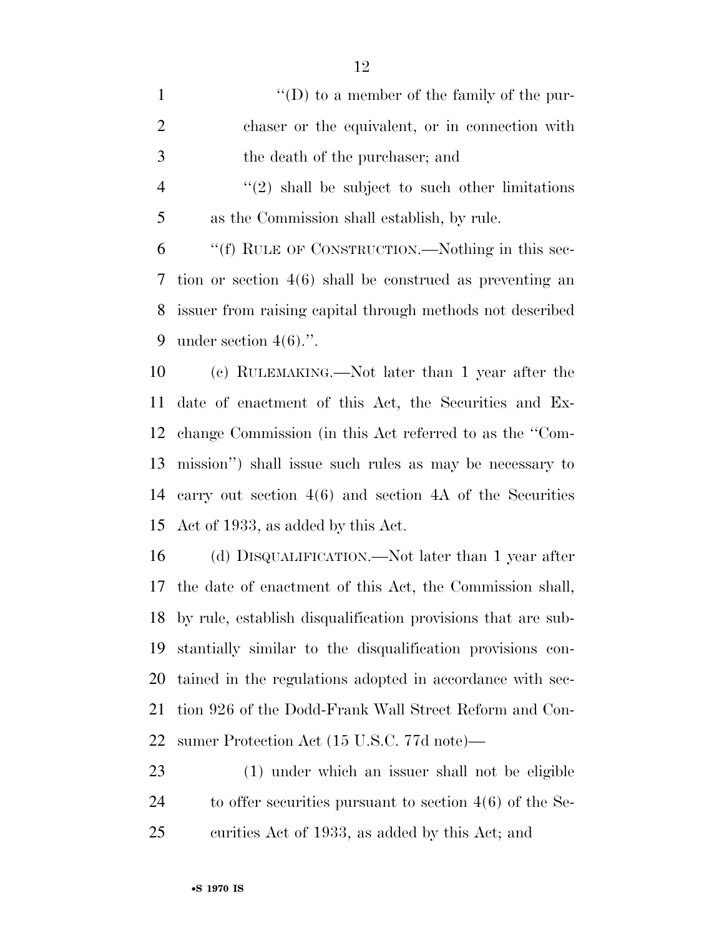1 ''(D) to a member of the family of the pur- chaser or the equivalent, or in connection with the death of the purchaser; and 4 "(2) shall be subject to such other limitations as the Commission shall establish, by rule. ''(f) RULE OF CONSTRUCTION.—Nothing in this sec- tion or section 4(6) shall be construed as preventing an issuer from raising capital through methods not described 9 under section  $4(6)$ .". (c) RULEMAKING.—Not later than 1 year after the date of enactment of this Act, the Securities and Ex-

 change Commission (in this Act referred to as the ''Com- mission'') shall issue such rules as may be necessary to carry out section 4(6) and section 4A of the Securities Act of 1933, as added by this Act.

 (d) DISQUALIFICATION.—Not later than 1 year after the date of enactment of this Act, the Commission shall, by rule, establish disqualification provisions that are sub- stantially similar to the disqualification provisions con- tained in the regulations adopted in accordance with sec- tion 926 of the Dodd-Frank Wall Street Reform and Con-sumer Protection Act (15 U.S.C. 77d note)—

 (1) under which an issuer shall not be eligible to offer securities pursuant to section 4(6) of the Se-curities Act of 1933, as added by this Act; and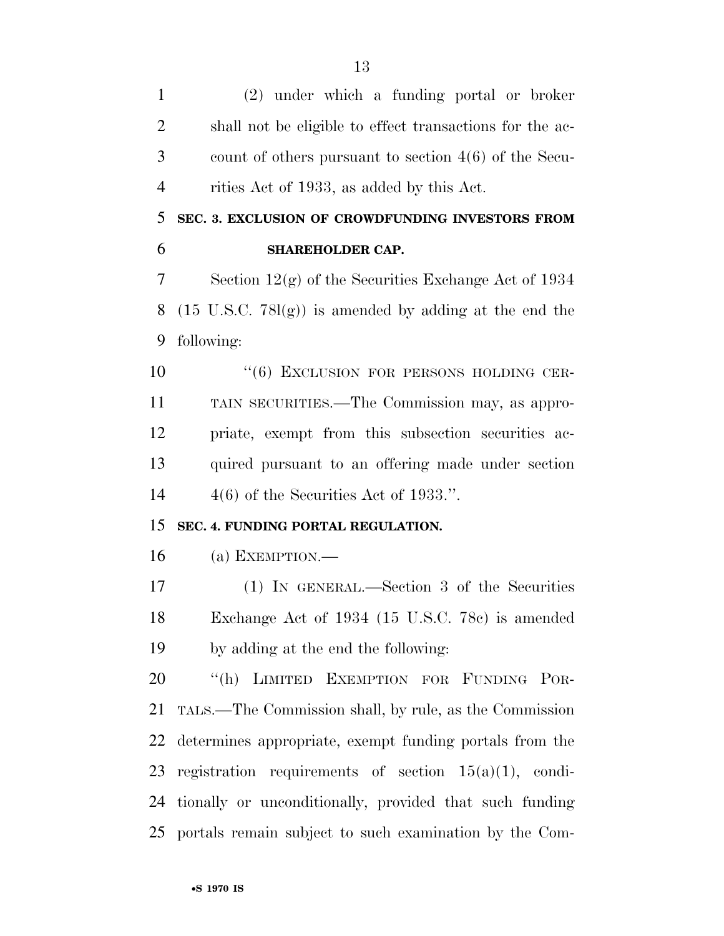(2) under which a funding portal or broker shall not be eligible to effect transactions for the ac- count of others pursuant to section 4(6) of the Secu- rities Act of 1933, as added by this Act. **SEC. 3. EXCLUSION OF CROWDFUNDING INVESTORS FROM SHAREHOLDER CAP.**  Section 12(g) of the Securities Exchange Act of 1934 (15 U.S.C. 78l(g)) is amended by adding at the end the following:  $(6)$  EXCLUSION FOR PERSONS HOLDING CER- TAIN SECURITIES.—The Commission may, as appro- priate, exempt from this subsection securities ac- quired pursuant to an offering made under section  $4(6)$  of the Securities Act of 1933.". **SEC. 4. FUNDING PORTAL REGULATION.**  (a) EXEMPTION.— (1) IN GENERAL.—Section 3 of the Securities Exchange Act of 1934 (15 U.S.C. 78c) is amended by adding at the end the following: 20 "(h) LIMITED EXEMPTION FOR FUNDING POR- TALS.—The Commission shall, by rule, as the Commission determines appropriate, exempt funding portals from the 23 registration requirements of section  $15(a)(1)$ , condi- tionally or unconditionally, provided that such funding portals remain subject to such examination by the Com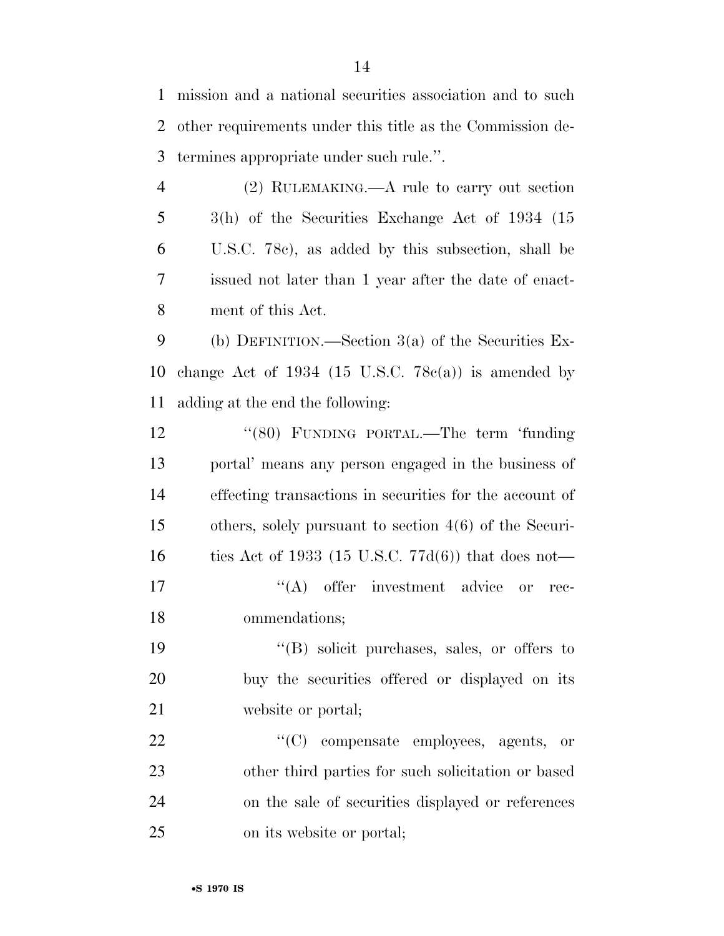mission and a national securities association and to such other requirements under this title as the Commission de-termines appropriate under such rule.''.

 (2) RULEMAKING.—A rule to carry out section 3(h) of the Securities Exchange Act of 1934 (15 U.S.C. 78c), as added by this subsection, shall be issued not later than 1 year after the date of enact-ment of this Act.

 (b) DEFINITION.—Section 3(a) of the Securities Ex-10 change Act of 1934 (15 U.S.C.  $78c(a)$ ) is amended by adding at the end the following:

12 "(80) FUNDING PORTAL.—The term 'funding portal' means any person engaged in the business of effecting transactions in securities for the account of others, solely pursuant to section 4(6) of the Securi- ties Act of 1933 (15 U.S.C. 77d(6)) that does not—  $((A)$  offer investment advice or rec-ommendations;

 ''(B) solicit purchases, sales, or offers to buy the securities offered or displayed on its website or portal;

 $\text{``(C)}$  compensate employees, agents, or other third parties for such solicitation or based on the sale of securities displayed or references on its website or portal;